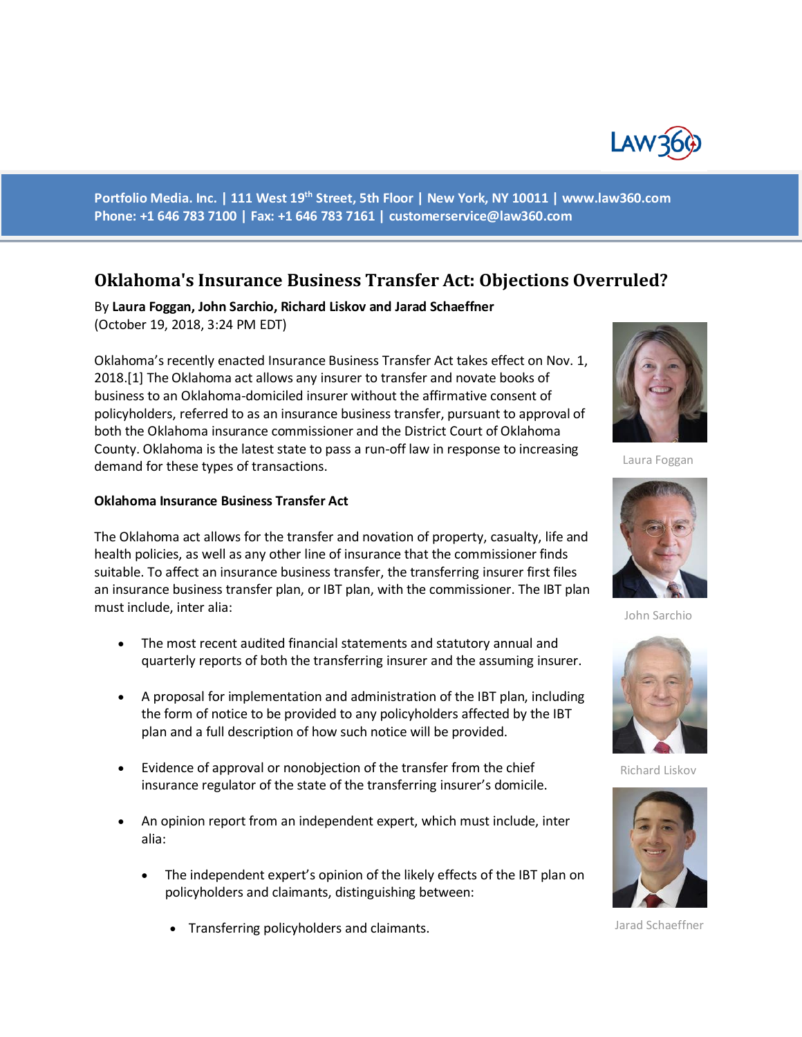

**Portfolio Media. Inc. | 111 West 19th Street, 5th Floor | New York, NY 10011 | www.law360.com Phone: +1 646 783 7100 | Fax: +1 646 783 7161 | [customerservice@law360.com](mailto:customerservice@law360.com)**

# **Oklahoma's Insurance Business Transfer Act: Objections Overruled?**

By **Laura Foggan, John Sarchio, Richard Liskov and Jarad Schaeffner** (October 19, 2018, 3:24 PM EDT)

Oklahoma's recently enacted Insurance Business Transfer Act takes effect on Nov. 1, 2018.[1] The Oklahoma act allows any insurer to transfer and novate books of business to an Oklahoma-domiciled insurer without the affirmative consent of policyholders, referred to as an insurance business transfer, pursuant to approval of both the Oklahoma insurance commissioner and the District Court of Oklahoma County. Oklahoma is the latest state to pass a run-off law in response to increasing demand for these types of transactions.

#### **Oklahoma Insurance Business Transfer Act**

The Oklahoma act allows for the transfer and novation of property, casualty, life and health policies, as well as any other line of insurance that the commissioner finds suitable. To affect an insurance business transfer, the transferring insurer first files an insurance business transfer plan, or IBT plan, with the commissioner. The IBT plan must include, inter alia:

- The most recent audited financial statements and statutory annual and quarterly reports of both the transferring insurer and the assuming insurer.
- A proposal for implementation and administration of the IBT plan, including the form of notice to be provided to any policyholders affected by the IBT plan and a full description of how such notice will be provided.
- Evidence of approval or nonobjection of the transfer from the chief insurance regulator of the state of the transferring insurer's domicile.
- An opinion report from an independent expert, which must include, inter alia:
	- The independent expert's opinion of the likely effects of the IBT plan on policyholders and claimants, distinguishing between:
		- Transferring policyholders and claimants.



Laura Foggan



John Sarchio



Richard Liskov



Jarad Schaeffner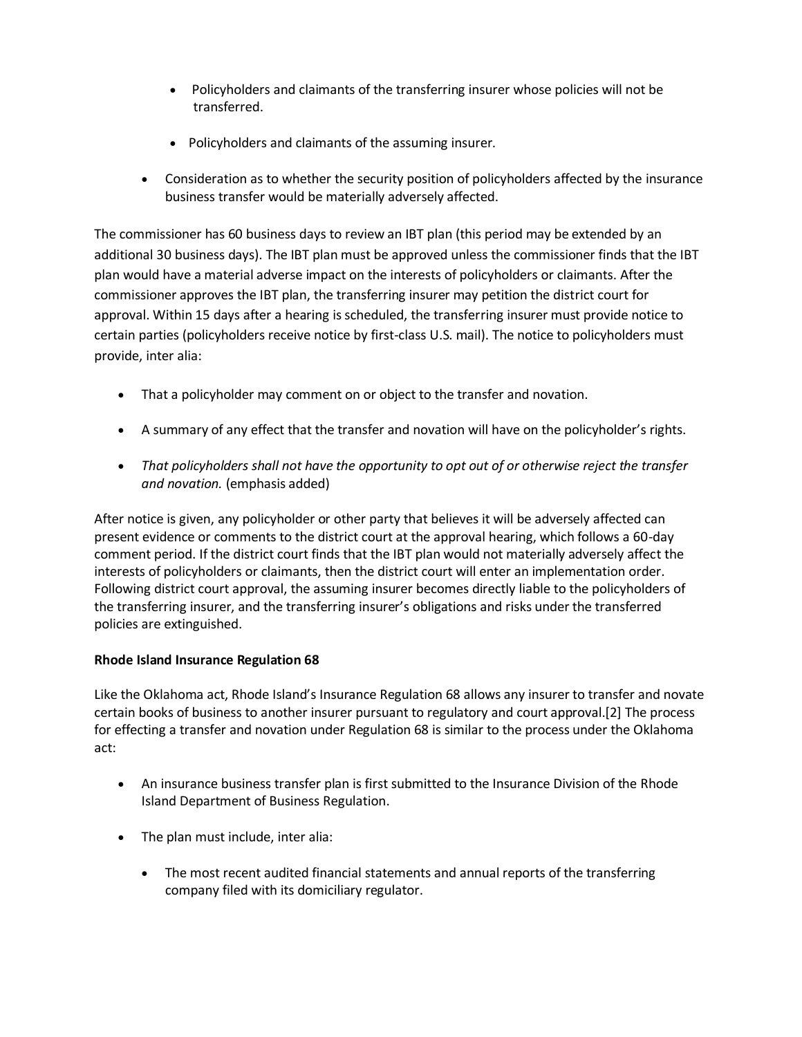- Policyholders and claimants of the transferring insurer whose policies will not be transferred.
- Policyholders and claimants of the assuming insurer.
- Consideration as to whether the security position of policyholders affected by the insurance business transfer would be materially adversely affected.

The commissioner has 60 business days to review an IBT plan (this period may be extended by an additional 30 business days). The IBT plan must be approved unless the commissioner finds that the IBT plan would have a material adverse impact on the interests of policyholders or claimants. After the commissioner approves the IBT plan, the transferring insurer may petition the district court for approval. Within 15 days after a hearing is scheduled, the transferring insurer must provide notice to certain parties (policyholders receive notice by first-class U.S. mail). The notice to policyholders must provide, inter alia:

- That a policyholder may comment on or object to the transfer and novation.
- A summary of any effect that the transfer and novation will have on the policyholder's rights.
- *That policyholders shall not have the opportunity to opt out of or otherwise reject the transfer and novation.* (emphasis added)

After notice is given, any policyholder or other party that believes it will be adversely affected can present evidence or comments to the district court at the approval hearing, which follows a 60-day comment period. If the district court finds that the IBT plan would not materially adversely affect the interests of policyholders or claimants, then the district court will enter an implementation order. Following district court approval, the assuming insurer becomes directly liable to the policyholders of the transferring insurer, and the transferring insurer's obligations and risks under the transferred policies are extinguished.

## **Rhode Island Insurance Regulation 68**

Like the Oklahoma act, Rhode Island's Insurance Regulation 68 allows any insurer to transfer and novate certain books of business to another insurer pursuant to regulatory and court approval.[2] The process for effecting a transfer and novation under Regulation 68 is similar to the process under the Oklahoma act:

- An insurance business transfer plan is first submitted to the Insurance Division of the Rhode Island Department of Business Regulation.
- The plan must include, inter alia:
	- The most recent audited financial statements and annual reports of the transferring company filed with its domiciliary regulator.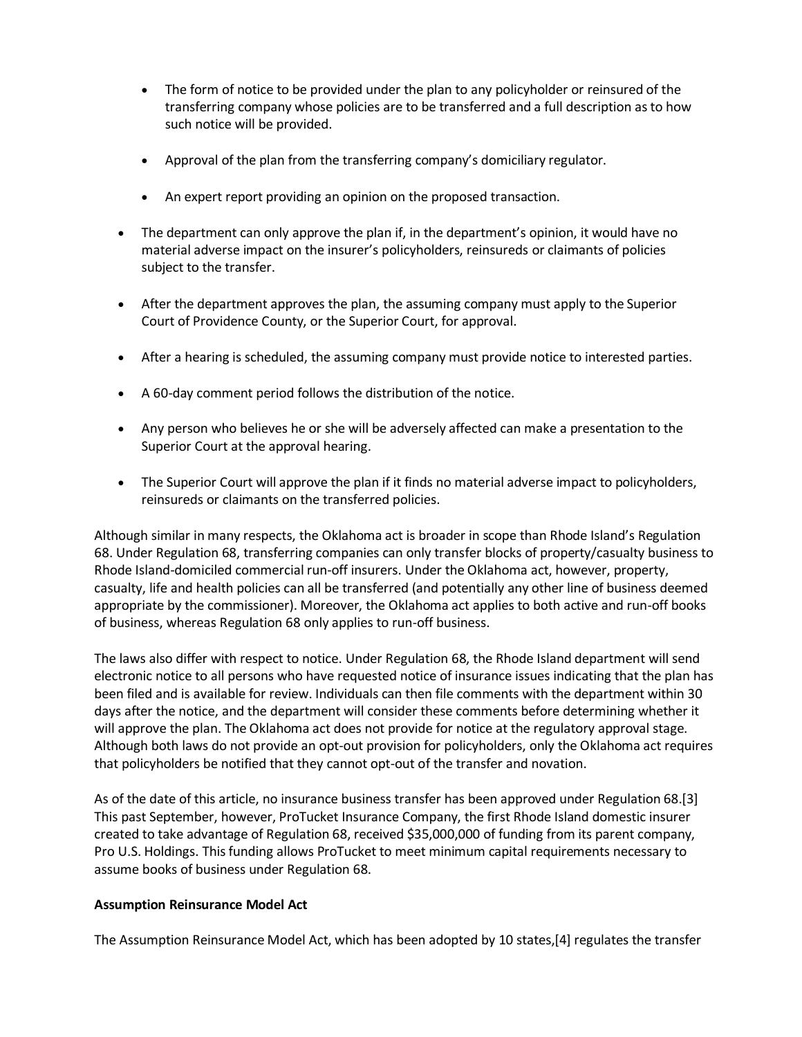- The form of notice to be provided under the plan to any policyholder or reinsured of the transferring company whose policies are to be transferred and a full description as to how such notice will be provided.
- Approval of the plan from the transferring company's domiciliary regulator.
- An expert report providing an opinion on the proposed transaction.
- The department can only approve the plan if, in the department's opinion, it would have no material adverse impact on the insurer's policyholders, reinsureds or claimants of policies subject to the transfer.
- After the department approves the plan, the assuming company must apply to the Superior Court of Providence County, or the Superior Court, for approval.
- After a hearing is scheduled, the assuming company must provide notice to interested parties.
- A 60-day comment period follows the distribution of the notice.
- Any person who believes he or she will be adversely affected can make a presentation to the Superior Court at the approval hearing.
- The Superior Court will approve the plan if it finds no material adverse impact to policyholders, reinsureds or claimants on the transferred policies.

Although similar in many respects, the Oklahoma act is broader in scope than Rhode Island's Regulation 68. Under Regulation 68, transferring companies can only transfer blocks of property/casualty business to Rhode Island-domiciled commercial run-off insurers. Under the Oklahoma act, however, property, casualty, life and health policies can all be transferred (and potentially any other line of business deemed appropriate by the commissioner). Moreover, the Oklahoma act applies to both active and run-off books of business, whereas Regulation 68 only applies to run-off business.

The laws also differ with respect to notice. Under Regulation 68, the Rhode Island department will send electronic notice to all persons who have requested notice of insurance issues indicating that the plan has been filed and is available for review. Individuals can then file comments with the department within 30 days after the notice, and the department will consider these comments before determining whether it will approve the plan. The Oklahoma act does not provide for notice at the regulatory approval stage. Although both laws do not provide an opt-out provision for policyholders, only the Oklahoma act requires that policyholders be notified that they cannot opt-out of the transfer and novation.

As of the date of this article, no insurance business transfer has been approved under Regulation 68.[3] This past September, however, ProTucket Insurance Company, the first Rhode Island domestic insurer created to take advantage of Regulation 68, received \$35,000,000 of funding from its parent company, Pro U.S. Holdings. This funding allows ProTucket to meet minimum capital requirements necessary to assume books of business under Regulation 68.

#### **Assumption Reinsurance Model Act**

The Assumption Reinsurance Model Act, which has been adopted by 10 states,[4] regulates the transfer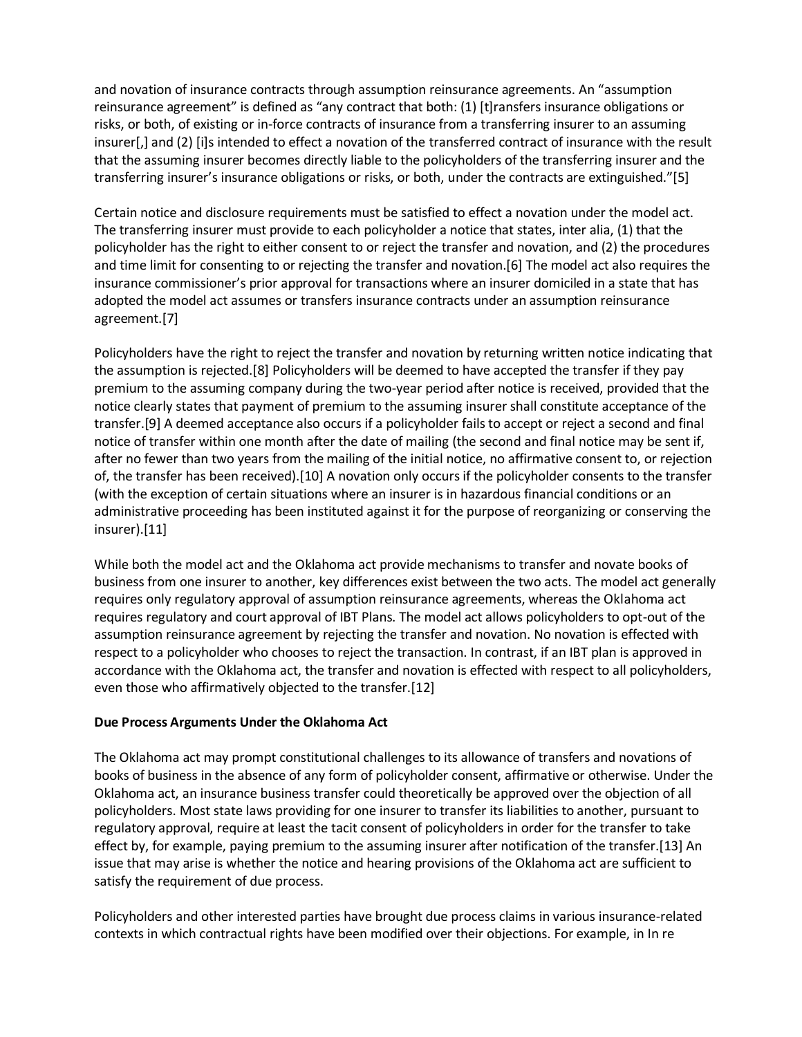and novation of insurance contracts through assumption reinsurance agreements. An "assumption reinsurance agreement" is defined as "any contract that both: (1) [t]ransfers insurance obligations or risks, or both, of existing or in-force contracts of insurance from a transferring insurer to an assuming insurer[,] and (2) [i]s intended to effect a novation of the transferred contract of insurance with the result that the assuming insurer becomes directly liable to the policyholders of the transferring insurer and the transferring insurer's insurance obligations or risks, or both, under the contracts are extinguished."[5]

Certain notice and disclosure requirements must be satisfied to effect a novation under the model act. The transferring insurer must provide to each policyholder a notice that states, inter alia, (1) that the policyholder has the right to either consent to or reject the transfer and novation, and (2) the procedures and time limit for consenting to or rejecting the transfer and novation.[6] The model act also requires the insurance commissioner's prior approval for transactions where an insurer domiciled in a state that has adopted the model act assumes or transfers insurance contracts under an assumption reinsurance agreement.[7]

Policyholders have the right to reject the transfer and novation by returning written notice indicating that the assumption is rejected.[8] Policyholders will be deemed to have accepted the transfer if they pay premium to the assuming company during the two-year period after notice is received, provided that the notice clearly states that payment of premium to the assuming insurer shall constitute acceptance of the transfer.[9] A deemed acceptance also occurs if a policyholder fails to accept or reject a second and final notice of transfer within one month after the date of mailing (the second and final notice may be sent if, after no fewer than two years from the mailing of the initial notice, no affirmative consent to, or rejection of, the transfer has been received).[10] A novation only occurs if the policyholder consents to the transfer (with the exception of certain situations where an insurer is in hazardous financial conditions or an administrative proceeding has been instituted against it for the purpose of reorganizing or conserving the insurer).[11]

While both the model act and the Oklahoma act provide mechanisms to transfer and novate books of business from one insurer to another, key differences exist between the two acts. The model act generally requires only regulatory approval of assumption reinsurance agreements, whereas the Oklahoma act requires regulatory and court approval of IBT Plans. The model act allows policyholders to opt-out of the assumption reinsurance agreement by rejecting the transfer and novation. No novation is effected with respect to a policyholder who chooses to reject the transaction. In contrast, if an IBT plan is approved in accordance with the Oklahoma act, the transfer and novation is effected with respect to all policyholders, even those who affirmatively objected to the transfer.[12]

## **Due Process Arguments Under the Oklahoma Act**

The Oklahoma act may prompt constitutional challenges to its allowance of transfers and novations of books of business in the absence of any form of policyholder consent, affirmative or otherwise. Under the Oklahoma act, an insurance business transfer could theoretically be approved over the objection of all policyholders. Most state laws providing for one insurer to transfer its liabilities to another, pursuant to regulatory approval, require at least the tacit consent of policyholders in order for the transfer to take effect by, for example, paying premium to the assuming insurer after notification of the transfer.[13] An issue that may arise is whether the notice and hearing provisions of the Oklahoma act are sufficient to satisfy the requirement of due process.

Policyholders and other interested parties have brought due process claims in various insurance-related contexts in which contractual rights have been modified over their objections. For example, in In re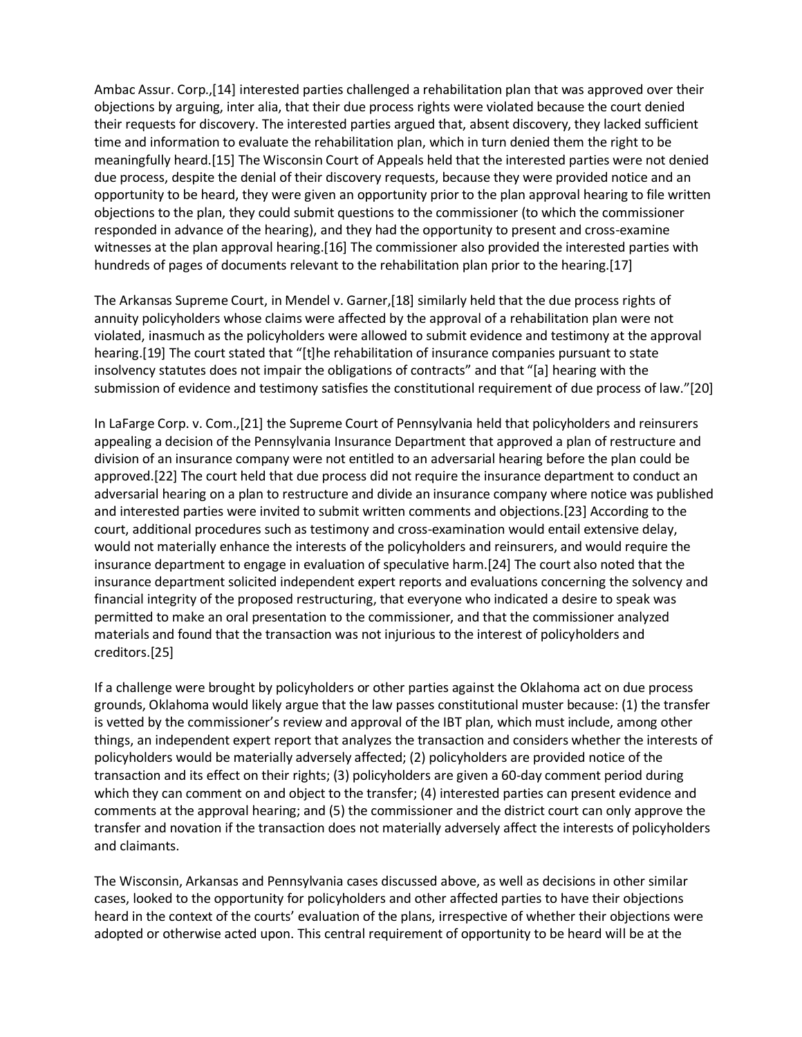Ambac Assur. Corp.,[14] interested parties challenged a rehabilitation plan that was approved over their objections by arguing, inter alia, that their due process rights were violated because the court denied their requests for discovery. The interested parties argued that, absent discovery, they lacked sufficient time and information to evaluate the rehabilitation plan, which in turn denied them the right to be meaningfully heard.[15] The Wisconsin Court of Appeals held that the interested parties were not denied due process, despite the denial of their discovery requests, because they were provided notice and an opportunity to be heard, they were given an opportunity prior to the plan approval hearing to file written objections to the plan, they could submit questions to the commissioner (to which the commissioner responded in advance of the hearing), and they had the opportunity to present and cross-examine witnesses at the plan approval hearing.[16] The commissioner also provided the interested parties with hundreds of pages of documents relevant to the rehabilitation plan prior to the hearing.[17]

The Arkansas Supreme Court, in Mendel v. Garner,[18] similarly held that the due process rights of annuity policyholders whose claims were affected by the approval of a rehabilitation plan were not violated, inasmuch as the policyholders were allowed to submit evidence and testimony at the approval hearing.[19] The court stated that "[t]he rehabilitation of insurance companies pursuant to state insolvency statutes does not impair the obligations of contracts" and that "[a] hearing with the submission of evidence and testimony satisfies the constitutional requirement of due process of law."[20]

In LaFarge Corp. v. Com.,[21] the Supreme Court of Pennsylvania held that policyholders and reinsurers appealing a decision of the Pennsylvania Insurance Department that approved a plan of restructure and division of an insurance company were not entitled to an adversarial hearing before the plan could be approved.[22] The court held that due process did not require the insurance department to conduct an adversarial hearing on a plan to restructure and divide an insurance company where notice was published and interested parties were invited to submit written comments and objections.[23] According to the court, additional procedures such as testimony and cross-examination would entail extensive delay, would not materially enhance the interests of the policyholders and reinsurers, and would require the insurance department to engage in evaluation of speculative harm.[24] The court also noted that the insurance department solicited independent expert reports and evaluations concerning the solvency and financial integrity of the proposed restructuring, that everyone who indicated a desire to speak was permitted to make an oral presentation to the commissioner, and that the commissioner analyzed materials and found that the transaction was not injurious to the interest of policyholders and creditors.[25]

If a challenge were brought by policyholders or other parties against the Oklahoma act on due process grounds, Oklahoma would likely argue that the law passes constitutional muster because: (1) the transfer is vetted by the commissioner's review and approval of the IBT plan, which must include, among other things, an independent expert report that analyzes the transaction and considers whether the interests of policyholders would be materially adversely affected; (2) policyholders are provided notice of the transaction and its effect on their rights; (3) policyholders are given a 60-day comment period during which they can comment on and object to the transfer; (4) interested parties can present evidence and comments at the approval hearing; and (5) the commissioner and the district court can only approve the transfer and novation if the transaction does not materially adversely affect the interests of policyholders and claimants.

The Wisconsin, Arkansas and Pennsylvania cases discussed above, as well as decisions in other similar cases, looked to the opportunity for policyholders and other affected parties to have their objections heard in the context of the courts' evaluation of the plans, irrespective of whether their objections were adopted or otherwise acted upon. This central requirement of opportunity to be heard will be at the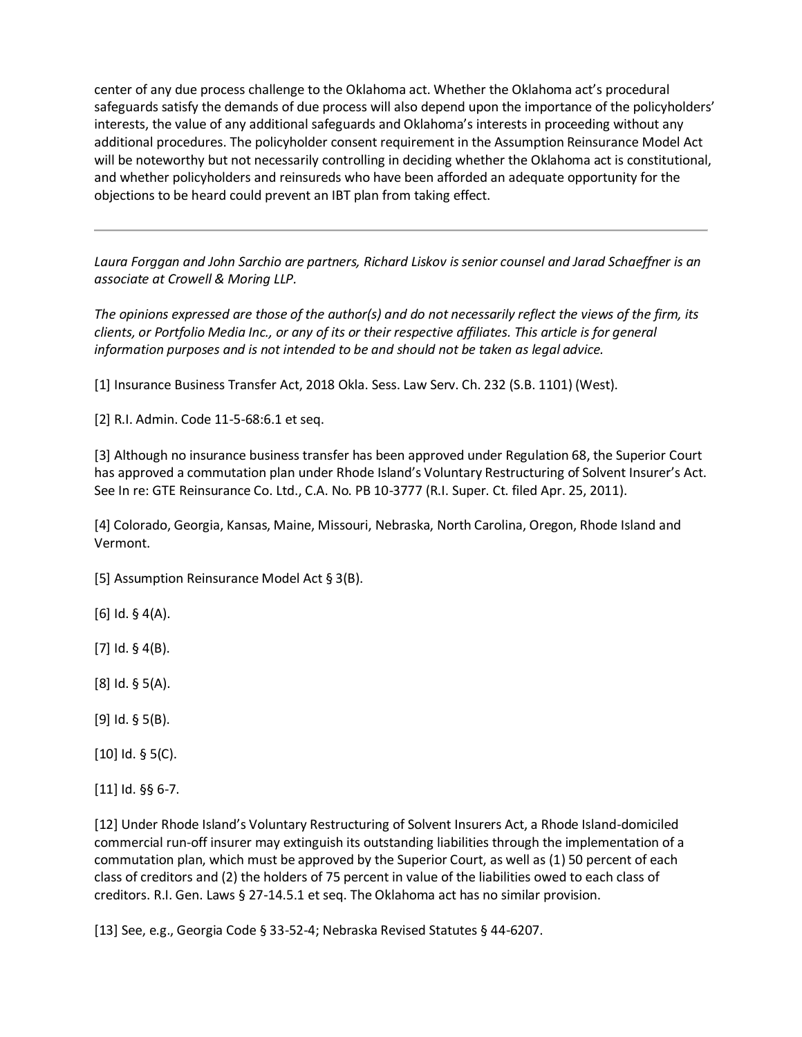center of any due process challenge to the Oklahoma act. Whether the Oklahoma act's procedural safeguards satisfy the demands of due process will also depend upon the importance of the policyholders' interests, the value of any additional safeguards and Oklahoma's interests in proceeding without any additional procedures. The policyholder consent requirement in the Assumption Reinsurance Model Act will be noteworthy but not necessarily controlling in deciding whether the Oklahoma act is constitutional, and whether policyholders and reinsureds who have been afforded an adequate opportunity for the objections to be heard could prevent an IBT plan from taking effect.

*Laura Forggan and John Sarchio are partners, Richard Liskov is senior counsel and Jarad Schaeffner is an associate at Crowell & Moring LLP.*

*The opinions expressed are those of the author(s) and do not necessarily reflect the views of the firm, its clients, or Portfolio Media Inc., or any of its or their respective affiliates. This article is for general information purposes and is not intended to be and should not be taken as legal advice.*

[1] Insurance Business Transfer Act, 2018 Okla. Sess. Law Serv. Ch. 232 (S.B. 1101) (West).

[2] R.I. Admin. Code 11-5-68:6.1 et seq.

[3] Although no insurance business transfer has been approved under Regulation 68, the Superior Court has approved a commutation plan under Rhode Island's Voluntary Restructuring of Solvent Insurer's Act. See In re: GTE Reinsurance Co. Ltd., C.A. No. PB 10-3777 (R.I. Super. Ct. filed Apr. 25, 2011).

[4] Colorado, Georgia, Kansas, Maine, Missouri, Nebraska, North Carolina, Oregon, Rhode Island and Vermont.

[5] Assumption Reinsurance Model Act § 3(B).

[6] Id. § 4(A).

[7] Id. § 4(B).

[8] Id. § 5(A).

[9] Id. § 5(B).

[10] Id. § 5(C).

[11] Id. §§ 6-7.

[12] Under Rhode Island's Voluntary Restructuring of Solvent Insurers Act, a Rhode Island-domiciled commercial run-off insurer may extinguish its outstanding liabilities through the implementation of a commutation plan, which must be approved by the Superior Court, as well as (1) 50 percent of each class of creditors and (2) the holders of 75 percent in value of the liabilities owed to each class of creditors. R.I. Gen. Laws § 27-14.5.1 et seq. The Oklahoma act has no similar provision.

[13] See, e.g., Georgia Code § 33-52-4; Nebraska Revised Statutes § 44-6207.